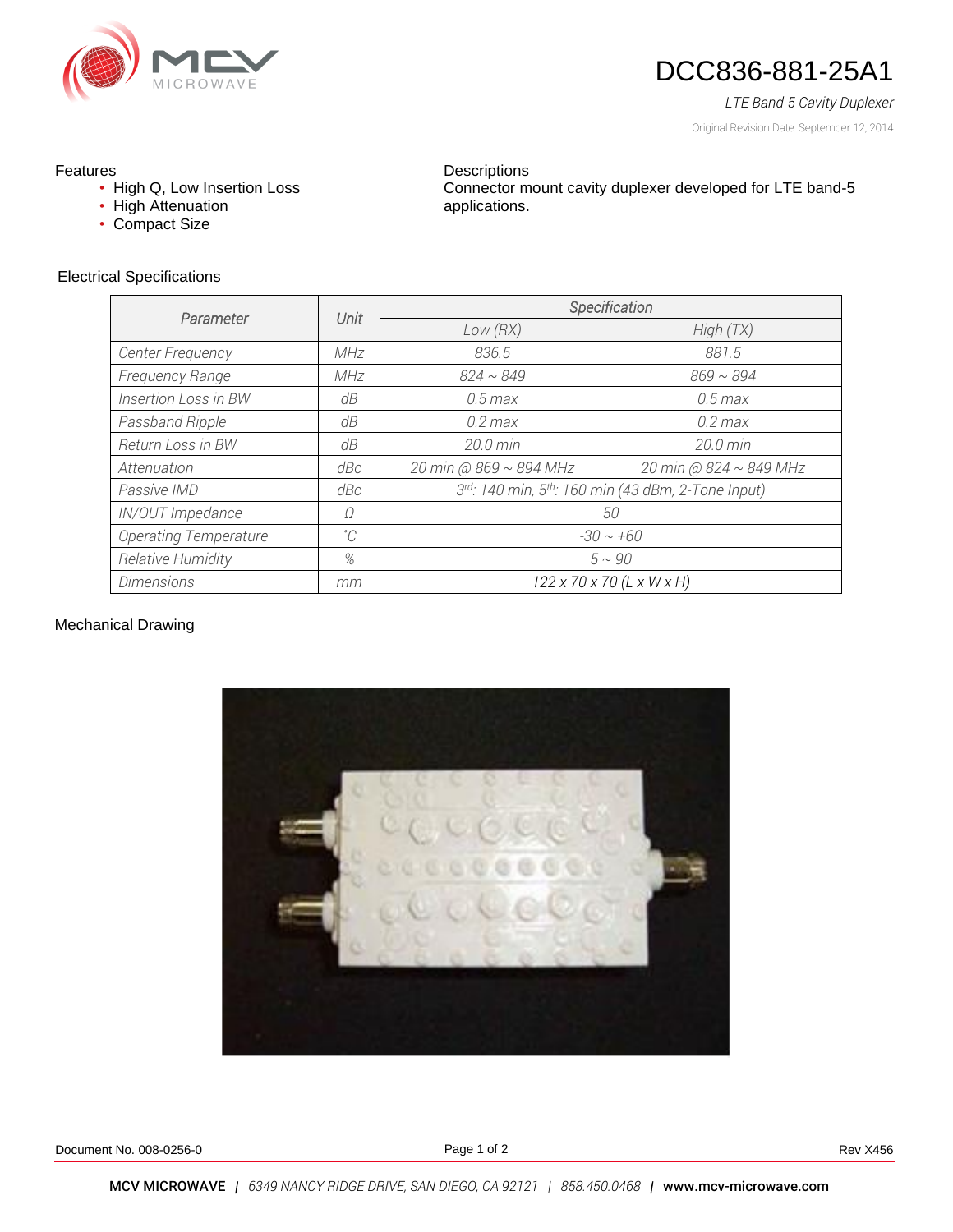

# DCC836-881-25A1

Connector mount cavity duplexer developed for LTE band-5

*LTE Band-5 Cavity Duplexer*

Original Revision Date: September 12, 2014

#### Features

- High Q, Low Insertion Loss
- High Attenuation
- Compact Size

#### Electrical Specifications

| Parameter                    | Unit        | Specification                                     |                             |
|------------------------------|-------------|---------------------------------------------------|-----------------------------|
|                              |             | Low(RX)                                           | High(TX)                    |
| <b>Center Frequency</b>      | <b>MHz</b>  | 836.5                                             | 881.5                       |
| Frequency Range              | MHz         | $824 \sim 849$                                    | $869 \sim 894$              |
| Insertion Loss in BW         | dΒ          | $0.5$ max                                         | $0.5$ max                   |
| Passband Ripple              | dB          | $0.2$ max                                         | $0.2$ max                   |
| Return Loss in BW            | dB          | $20.0 \text{ min}$                                | $20.0 \text{ min}$          |
| Attenuation                  | dBc         | 20 min @ 869 ~ 894 MHz                            | 20 min @ $824 \sim 849$ MHz |
| Passive IMD                  | dBc         | 3rd: 140 min, 5th: 160 min (43 dBm, 2-Tone Input) |                             |
| IN/OUT Impedance             | Ω           | 50                                                |                             |
| <b>Operating Temperature</b> | $^{\circ}C$ | $-30 \sim +60$                                    |                             |
| Relative Humidity            | %           | $5 \sim 90$                                       |                             |
| <b>Dimensions</b>            | mm          | $122 \times 70 \times 70$ (L x W x H)             |                             |

**Descriptions** 

applications.

## Mechanical Drawing



Document No. 008-0256-0 **Rev X456** Rev X456

Page 1 of 2